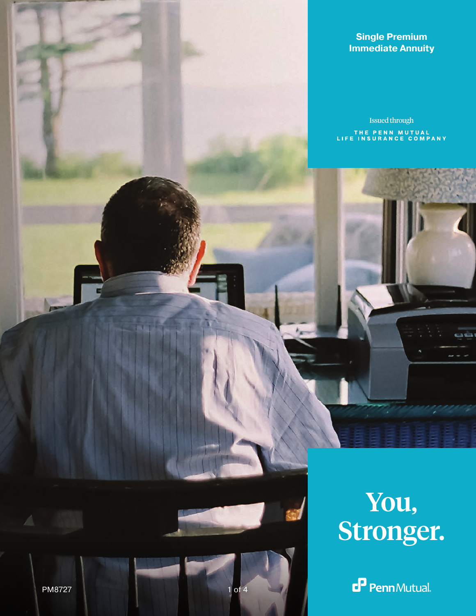## **Single Premium Immediate Annuity**

Issued through THE PENN MUTUAL<br>LIFE INSURANCE COMPANY



 $\mathbf{P}$  Penn Mutual.

PM8727 1 of 4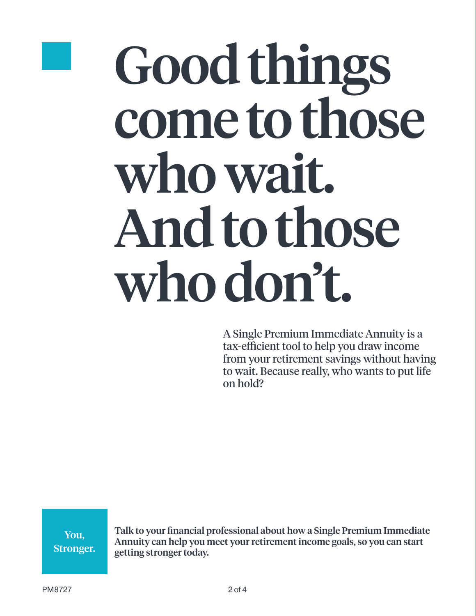

# Good things come to those who wait. And to those who don't.

A Single Premium Immediate Annuity is a tax-efficient tool to help you draw income from your retirement savings without having to wait. Because really, who wants to put life on hold?

You, Stronger. Talk to your financial professional about how a Single Premium Immediate Annuity can help you meet your retirement income goals, so you can start getting stronger today.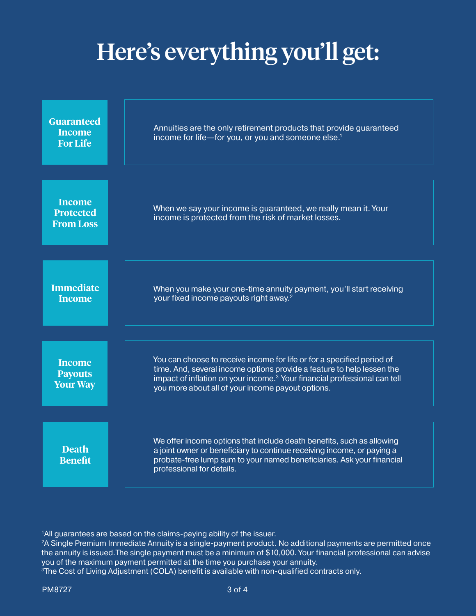## Here's everything you'll get:

| <b>Guaranteed</b><br><b>Income</b><br><b>For Life</b> | Annuities are the only retirement products that provide guaranteed<br>income for life-for you, or you and someone else. <sup>1</sup>                                                                                                                                                           |
|-------------------------------------------------------|------------------------------------------------------------------------------------------------------------------------------------------------------------------------------------------------------------------------------------------------------------------------------------------------|
|                                                       |                                                                                                                                                                                                                                                                                                |
| <b>Income</b><br><b>Protected</b><br><b>From Loss</b> | When we say your income is guaranteed, we really mean it. Your<br>income is protected from the risk of market losses.                                                                                                                                                                          |
|                                                       |                                                                                                                                                                                                                                                                                                |
| <b>Immediate</b><br><b>Income</b>                     | When you make your one-time annuity payment, you'll start receiving<br>your fixed income payouts right away. <sup>2</sup>                                                                                                                                                                      |
|                                                       |                                                                                                                                                                                                                                                                                                |
| <b>Income</b><br><b>Payouts</b><br><b>Your Way</b>    | You can choose to receive income for life or for a specified period of<br>time. And, several income options provide a feature to help lessen the<br>impact of inflation on your income. <sup>3</sup> Your financial professional can tell<br>you more about all of your income payout options. |
|                                                       |                                                                                                                                                                                                                                                                                                |
| <b>Death</b><br><b>Benefit</b>                        | We offer income options that include death benefits, such as allowing<br>a joint owner or beneficiary to continue receiving income, or paying a<br>probate-free lump sum to your named beneficiaries. Ask your financial<br>professional for details.                                          |

<sup>1</sup>All guarantees are based on the claims-paying ability of the issuer.

<sup>2</sup>A Single Premium Immediate Annuity is a single-payment product. No additional payments are permitted once the annuity is issued.The single payment must be a minimum of \$10,000. Your financial professional can advise you of the maximum payment permitted at the time you purchase your annuity.

<sup>3</sup>The Cost of Living Adjustment (COLA) benefit is available with non-qualified contracts only.